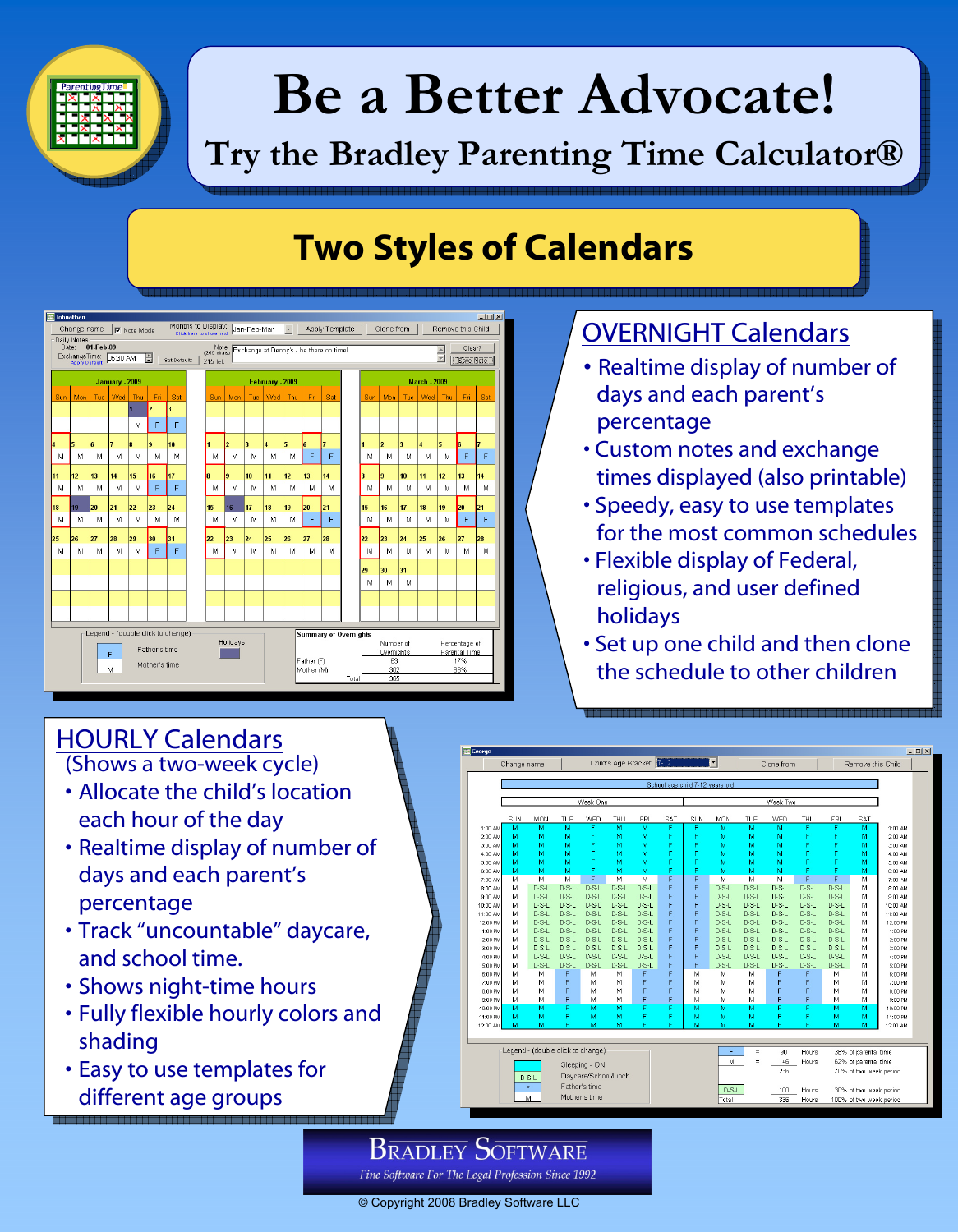

# **Be a Better Advocate! Be a Better Advocate!**

## **Try the Bradley Parenting Time Calculator® Try the Bradley Parenting Time Calculator®**

### **Two Styles of Calendars Two Styles of Calendars**



#### **OVERNIGHT Calendars**

- Realtime display of number of days and each parent's percentage
- Custom notes and exchange times displayed (also printable)
- Speedy, easy to use templates for the most common schedules
- Flexible display of Federal, religious, and user defined holidays
- Set up one child and then clone the schedule to other children

#### **HOURLY Calendars**

(Shows a two-week cycle)

- Allocate the child's location each hour of the day
- Realtime display of number of days and each parent's percentage
- Track "uncountable" daycare, and school time.
- Shows night-time hours
- Fully flexible hourly colors and shading
- Easy to use templates for different age groups

|          | Change name                     |                                   |         |         |         | Child's Age Bracket 7-12<br>$\overline{\phantom{a}}$ |          |                                 |                                                   | Clone from                                            |         |         | Remove this Child |                      |          |
|----------|---------------------------------|-----------------------------------|---------|---------|---------|------------------------------------------------------|----------|---------------------------------|---------------------------------------------------|-------------------------------------------------------|---------|---------|-------------------|----------------------|----------|
|          |                                 |                                   |         |         |         |                                                      |          | School age child 7-12 years old |                                                   |                                                       |         |         |                   |                      |          |
|          |                                 |                                   |         |         |         |                                                      |          |                                 |                                                   |                                                       |         |         |                   |                      |          |
|          | Week One                        |                                   |         |         |         |                                                      | Week Two |                                 |                                                   |                                                       |         |         |                   |                      |          |
|          | SUN                             | MON                               | TUE     | WED     | THU     | FRI                                                  | SAT      | SUN                             | MON                                               | TUE                                                   | WED     | THU     | FRI               | SAT                  |          |
| 1:00 AM  | M                               | M                                 | м       | F       | M       | M                                                    | Ë        | F                               | м                                                 | M                                                     | м       | F       | F                 | M                    | 1:00 AM  |
| 2:00 AM  | м                               | M                                 | м       | F       | м       | м                                                    | F        | F                               | м                                                 | м                                                     | м       | F       | F                 | м                    | 2:00 AM  |
| 3:00 AM  | м                               | M                                 | м       | F       | M       | м                                                    | F        | F                               | м                                                 | м                                                     | м       | F       | F                 | м                    | 3:00 AM  |
| 4:00 AM  | M                               | M                                 | м       | F       | M       | M                                                    | F        | Ë                               | м                                                 | м                                                     | м       | F       | F                 | м                    | 4:00 AM  |
| 5:00 AM  | M                               | М                                 | м       | F       | M       | M                                                    | я        | F                               | м                                                 | м                                                     | м       | F       | F                 | м                    | 5:00 AM  |
| 6:00 AM  | M                               | М                                 | м       | F       | M       | M                                                    | F        | F                               | м                                                 | М                                                     | м       | F       | F                 | м                    | 6:00 AM  |
| 7:00 AM  | M                               | M                                 | M       | F       | M       | M                                                    | F        | F                               | M                                                 | M                                                     | М       | F       | F                 | М                    | 7:00 AM  |
| 8:00 AM  | м                               | $D-S-L$                           | $D-S-L$ | $D-S-L$ | $D-S-L$ | $D-S-L$                                              | F        | F                               | $D-S-L$                                           | $D-S-L$                                               | $D-S-L$ | $D-S-L$ | $D-S-L$           | М                    | 8:00 AM  |
| 9:00 AM  | М                               | $D-S-L$                           | $D-S-L$ | $D-S-L$ | $D-S-L$ | $D-S-L$                                              | F        | F                               | $D-S-L$                                           | $D-S-L$                                               | $D-S-L$ | $D-S-L$ | $D-S-L$           | М                    | 9:00 AM  |
| 10:00 AM | М                               | $D-S-L$                           | $D-S-L$ | $D-S-L$ | $D-S-L$ | $D-S-L$                                              | F        | F                               | $D-S-L$                                           | $D-S-L$                                               | $D-S-L$ | $D-S-L$ | $D-S-L$           | М                    | 10:00 AM |
| 11:00 AM | M                               | $D-S-L$                           | $D-S-L$ | $D-S-L$ | $D-S-L$ | $D-S-L$                                              | F        | F                               | $D-S-L$                                           | $D-S-L$                                               | $D-S-L$ | $D-S-L$ | $D-S-L$           | М                    | 11:00 AM |
| 12:00 PM | M                               | $D-S-L$                           | $D-S-L$ | $D-S-L$ | $D-S-L$ | $D-S-L$                                              | F        | F                               | $D-S-L$                                           | $D-S-L$                                               | $D-S-L$ | $D-S-L$ | $D-S-L$           | М                    | 12:00 PM |
| 1:00 PM  | M                               | $D-S-L$                           | $D-S-L$ | $D-S-L$ | $D-S-L$ | $D-S-L$                                              | F        | F                               | $D-S-L$                                           | $D-S-L$                                               | $D-S-L$ | $D-S-L$ | $D-S-L$           | м                    | 1:00 PM  |
| 2:00 PM  | M                               | $D-S-L$                           | $D-S-L$ | $D-S-L$ | $D-S-L$ | $D-S-I$                                              | F        | F                               | $D-S-L$                                           | $D-S-L$                                               | $D-S-L$ | $D-S-L$ | $D-S-L$           | м                    | 2:00 PM  |
| 3:00 PM  | M                               | D-S-L                             | $D-S-I$ | $D-S-I$ | $D-S-I$ | $D-S-I$                                              | F        | F                               | $D-S-L$                                           | $D-S-I$                                               | $D-S-L$ | $D-S-I$ | $D-S-I$           | м                    | 3:00 PM  |
| 4:00 PM  | м                               | $D-S-L$                           | $D-S-L$ | D-S-L   | $D-S-L$ | $D-S-L$                                              | F        | F                               | $D-S-L$                                           | $D-S-L$                                               | $D-S-L$ | $D-S-L$ | $D-S-L$           | м                    | 4:00 PM  |
| 5:00 PM  | М                               | $D-S-L$                           | $D-S-L$ | $D-S-L$ | $D-S-L$ | $D-S-L$                                              | F        | F                               | $D-S-L$                                           | $D-S-L$                                               | $D-S-L$ | $D-S-L$ | $D-S-L$           | м                    | 5:00 PM  |
| 6:00 PM  | M                               | М                                 | F       | м       | M       | F                                                    | F        | М                               | M                                                 | М                                                     | F       | F       | М                 | м                    | 6:00 PM  |
| 7:00 PM  | M                               | M                                 | F       | M       | M       | F                                                    | F        | M                               | М                                                 | M                                                     | F       | F       | М                 | М                    | 7:00 PM  |
| 8:00 PM  | M                               | M                                 | F       | M       | M       | F                                                    | F        | М                               | M                                                 | м                                                     | F       | F       | м                 | м                    | 8:00 PM  |
| 9:00 PM  | M                               | м                                 | F       | м       | M       | F                                                    | F        | м                               | M                                                 | M                                                     | F       | F       | м                 | М                    | 9:00 PM  |
| 10:00 PM | м                               | м                                 | F       | м       | м       | c                                                    | c        | м                               | м                                                 | м                                                     | F       | F       | м                 | м                    | 10:00 PM |
| 11:00 PM | M                               | M                                 | F       | м       | м       |                                                      | я        | м                               | м                                                 | м                                                     | p       | p       | м                 | м                    | 11:00 PM |
| 12:00 AM | M                               | м                                 | е       | м       | м       | г                                                    | п        | м                               | м                                                 | м                                                     | п       | c       | м                 | м                    | 12:00 AM |
|          |                                 | Legend - (double click to change) |         |         |         |                                                      |          |                                 | F                                                 | $=$                                                   | 90      | Hours   |                   | 38% of parental time |          |
|          | Sleeping - ON                   |                                   |         |         |         |                                                      |          |                                 |                                                   | M<br>$\equiv$<br>146<br>62% of parental time<br>Hours |         |         |                   |                      |          |
|          |                                 |                                   |         |         |         |                                                      |          |                                 | 236<br>70% of two week period                     |                                                       |         |         |                   |                      |          |
|          | Daycare/School/lunch<br>$D-S-L$ |                                   |         |         |         |                                                      |          |                                 |                                                   |                                                       |         |         |                   |                      |          |
|          | Father's time<br>F              |                                   |         |         |         |                                                      |          |                                 | $D-S-L$<br>100<br>Hours<br>30% of two week period |                                                       |         |         |                   |                      |          |
|          | Mother's time<br>M              |                                   |         |         |         |                                                      |          |                                 | 336<br>100% of two week period<br>Total<br>Hours  |                                                       |         |         |                   |                      |          |
|          |                                 |                                   |         |         |         |                                                      |          |                                 |                                                   |                                                       |         |         |                   |                      |          |

#### **BRADLEY SOFTWARE**

**Booksett** 

Fine Software For The Legal Profession Since 1992

© Copyright 2008 Bradley Software LLC